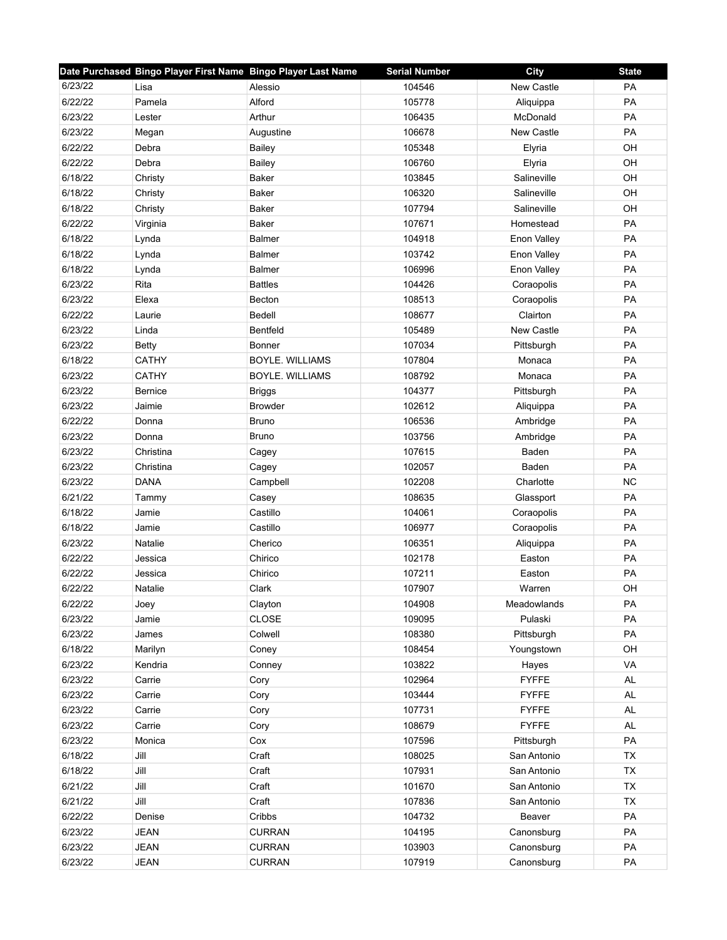|         | Date Purchased Bingo Player First Name Bingo Player Last Name |                        | <b>Serial Number</b> | <b>City</b>       | <b>State</b> |
|---------|---------------------------------------------------------------|------------------------|----------------------|-------------------|--------------|
| 6/23/22 | Lisa                                                          | Alessio                | 104546               | New Castle        | PA           |
| 6/22/22 | Pamela                                                        | Alford                 | 105778               | Aliquippa         | PA           |
| 6/23/22 | Lester                                                        | Arthur                 | 106435               | McDonald          | PA           |
| 6/23/22 | Megan                                                         | Augustine              | 106678               | <b>New Castle</b> | PA           |
| 6/22/22 | Debra                                                         | Bailey                 | 105348               | Elyria            | OH           |
| 6/22/22 | Debra                                                         | Bailey                 | 106760               | Elyria            | OH           |
| 6/18/22 | Christy                                                       | <b>Baker</b>           | 103845               | Salineville       | OH           |
| 6/18/22 | Christy                                                       | Baker                  | 106320               | Salineville       | OH           |
| 6/18/22 | Christy                                                       | Baker                  | 107794               | Salineville       | OH           |
| 6/22/22 | Virginia                                                      | Baker                  | 107671               | Homestead         | PA           |
| 6/18/22 | Lynda                                                         | <b>Balmer</b>          | 104918               | Enon Valley       | PA           |
| 6/18/22 | Lynda                                                         | <b>Balmer</b>          | 103742               | Enon Valley       | PA           |
| 6/18/22 | Lynda                                                         | <b>Balmer</b>          | 106996               | Enon Valley       | PA           |
| 6/23/22 | Rita                                                          | <b>Battles</b>         | 104426               | Coraopolis        | PA           |
| 6/23/22 | Elexa                                                         | <b>Becton</b>          | 108513               | Coraopolis        | PA           |
| 6/22/22 | Laurie                                                        | Bedell                 | 108677               | Clairton          | PA           |
| 6/23/22 | Linda                                                         | Bentfeld               | 105489               | New Castle        | PA           |
| 6/23/22 | Betty                                                         | Bonner                 | 107034               | Pittsburgh        | PA           |
| 6/18/22 | <b>CATHY</b>                                                  | <b>BOYLE, WILLIAMS</b> | 107804               | Monaca            | <b>PA</b>    |
| 6/23/22 | <b>CATHY</b>                                                  | BOYLE. WILLIAMS        | 108792               | Monaca            | PA           |
| 6/23/22 | <b>Bernice</b>                                                | <b>Briggs</b>          | 104377               | Pittsburgh        | PA           |
| 6/23/22 | Jaimie                                                        | <b>Browder</b>         | 102612               | Aliquippa         | PA           |
| 6/22/22 | Donna                                                         | Bruno                  | 106536               | Ambridge          | PA           |
| 6/23/22 | Donna                                                         | <b>Bruno</b>           | 103756               | Ambridge          | PA           |
| 6/23/22 | Christina                                                     | Cagey                  | 107615               | Baden             | PA           |
| 6/23/22 | Christina                                                     | Cagey                  | 102057               | Baden             | PA           |
| 6/23/22 | <b>DANA</b>                                                   | Campbell               | 102208               | Charlotte         | <b>NC</b>    |
| 6/21/22 | Tammy                                                         | Casey                  | 108635               | Glassport         | PA           |
| 6/18/22 | Jamie                                                         | Castillo               | 104061               | Coraopolis        | PA           |
| 6/18/22 | Jamie                                                         | Castillo               | 106977               | Coraopolis        | <b>PA</b>    |
| 6/23/22 | Natalie                                                       | Cherico                | 106351               | Aliquippa         | PA           |
| 6/22/22 | Jessica                                                       | Chirico                | 102178               | Easton            | PA           |
| 6/22/22 | Jessica                                                       | Chirico                | 107211               | Easton            | PA           |
| 6/22/22 | Natalie                                                       | Clark                  | 107907               | Warren            | OH           |
| 6/22/22 | Joey                                                          | Clayton                | 104908               | Meadowlands       | PA           |
| 6/23/22 | Jamie                                                         | CLOSE                  | 109095               | Pulaski           | PA           |
| 6/23/22 | James                                                         | Colwell                | 108380               | Pittsburgh        | PA           |
| 6/18/22 | Marilyn                                                       | Coney                  | 108454               | Youngstown        | OH           |
| 6/23/22 | Kendria                                                       | Conney                 | 103822               | Hayes             | VA           |
| 6/23/22 | Carrie                                                        | Cory                   | 102964               | <b>FYFFE</b>      | AL           |
| 6/23/22 | Carrie                                                        | Cory                   | 103444               | <b>FYFFE</b>      | AL           |
| 6/23/22 | Carrie                                                        | Cory                   | 107731               | <b>FYFFE</b>      | AL           |
| 6/23/22 | Carrie                                                        | Cory                   | 108679               | <b>FYFFE</b>      | AL           |
| 6/23/22 | Monica                                                        | Cox                    | 107596               | Pittsburgh        | PA           |
| 6/18/22 | Jill                                                          | Craft                  | 108025               | San Antonio       | TX           |
| 6/18/22 | Jill                                                          | Craft                  | 107931               | San Antonio       | TX           |
| 6/21/22 | Jill                                                          | Craft                  | 101670               | San Antonio       | <b>TX</b>    |
| 6/21/22 | Jill                                                          | Craft                  | 107836               | San Antonio       | TX           |
| 6/22/22 | Denise                                                        | Cribbs                 | 104732               | Beaver            | PA           |
| 6/23/22 | <b>JEAN</b>                                                   | <b>CURRAN</b>          | 104195               | Canonsburg        | PA           |
| 6/23/22 | <b>JEAN</b>                                                   | <b>CURRAN</b>          | 103903               | Canonsburg        | PA           |
| 6/23/22 | <b>JEAN</b>                                                   | <b>CURRAN</b>          | 107919               | Canonsburg        | PA           |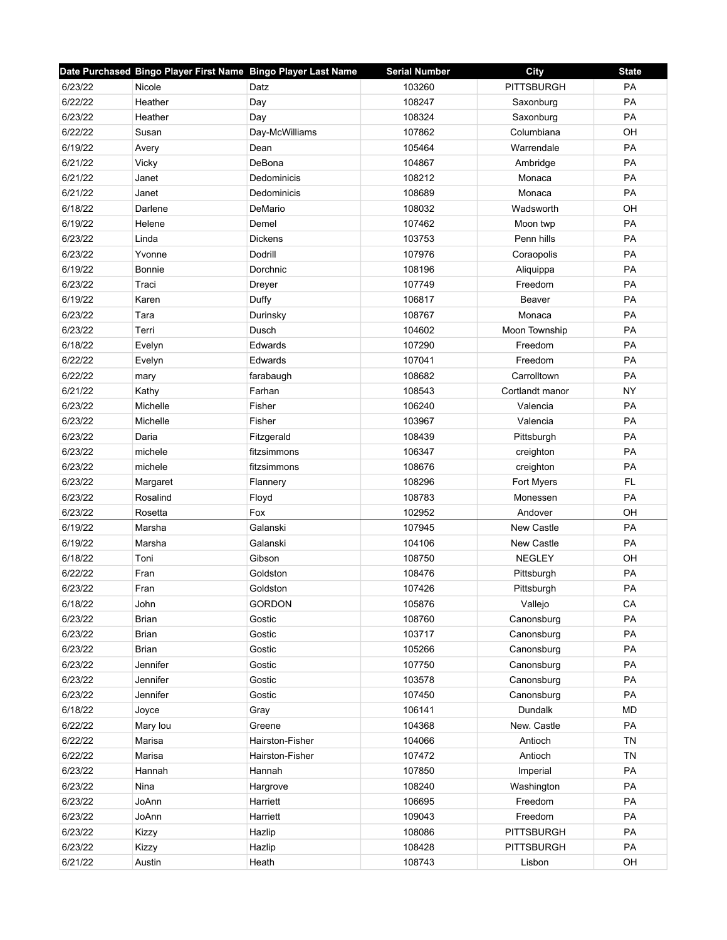|         | Date Purchased Bingo Player First Name Bingo Player Last Name |                 | <b>Serial Number</b> | <b>City</b>       | <b>State</b> |
|---------|---------------------------------------------------------------|-----------------|----------------------|-------------------|--------------|
| 6/23/22 | Nicole                                                        | Datz            | 103260               | <b>PITTSBURGH</b> | PA           |
| 6/22/22 | Heather                                                       | Day             | 108247               | Saxonburg         | PA           |
| 6/23/22 | Heather                                                       | Day             | 108324               | Saxonburg         | <b>PA</b>    |
| 6/22/22 | Susan                                                         | Day-McWilliams  | 107862               | Columbiana        | OH           |
| 6/19/22 | Avery                                                         | Dean            | 105464               | Warrendale        | PA           |
| 6/21/22 | Vicky                                                         | DeBona          | 104867               | Ambridge          | PA           |
| 6/21/22 | Janet                                                         | Dedominicis     | 108212               | Monaca            | PA           |
| 6/21/22 | Janet                                                         | Dedominicis     | 108689               | Monaca            | PA           |
| 6/18/22 | Darlene                                                       | DeMario         | 108032               | Wadsworth         | OH           |
| 6/19/22 | Helene                                                        | Demel           | 107462               | Moon twp          | PA           |
| 6/23/22 | Linda                                                         | <b>Dickens</b>  | 103753               | Penn hills        | PA           |
| 6/23/22 | Yvonne                                                        | Dodrill         | 107976               | Coraopolis        | PA           |
| 6/19/22 | <b>Bonnie</b>                                                 | Dorchnic        | 108196               | Aliquippa         | PA           |
| 6/23/22 | Traci                                                         | Dreyer          | 107749               | Freedom           | PA           |
| 6/19/22 | Karen                                                         | Duffy           | 106817               | Beaver            | PA           |
| 6/23/22 | Tara                                                          | Durinsky        | 108767               | Monaca            | PA           |
| 6/23/22 | Terri                                                         | Dusch           | 104602               | Moon Township     | PA           |
| 6/18/22 | Evelyn                                                        | Edwards         | 107290               | Freedom           | PA           |
| 6/22/22 | Evelyn                                                        | Edwards         | 107041               | Freedom           | PA           |
| 6/22/22 | mary                                                          | farabaugh       | 108682               | Carrolltown       | PA           |
| 6/21/22 | Kathy                                                         | Farhan          | 108543               | Cortlandt manor   | <b>NY</b>    |
| 6/23/22 | Michelle                                                      | Fisher          | 106240               | Valencia          | PA           |
| 6/23/22 | Michelle                                                      | Fisher          | 103967               | Valencia          | PA           |
| 6/23/22 | Daria                                                         | Fitzgerald      | 108439               | Pittsburgh        | PA           |
| 6/23/22 | michele                                                       | fitzsimmons     | 106347               | creighton         | PA           |
| 6/23/22 | michele                                                       | fitzsimmons     | 108676               | creighton         | PA           |
| 6/23/22 | Margaret                                                      | Flannery        | 108296               | Fort Myers        | FL.          |
| 6/23/22 | Rosalind                                                      | Floyd           | 108783               | Monessen          | PA           |
| 6/23/22 | Rosetta                                                       | Fox             | 102952               | Andover           | OH           |
| 6/19/22 | Marsha                                                        | Galanski        | 107945               | <b>New Castle</b> | PA           |
| 6/19/22 | Marsha                                                        | Galanski        | 104106               | New Castle        | PA           |
| 6/18/22 | Toni                                                          | Gibson          | 108750               | <b>NEGLEY</b>     | OH           |
| 6/22/22 | Fran                                                          | Goldston        | 108476               | Pittsburgh        | PA           |
| 6/23/22 | Fran                                                          | Goldston        | 107426               | Pittsburgh        | PA           |
| 6/18/22 | John                                                          | <b>GORDON</b>   | 105876               | Vallejo           | CA           |
| 6/23/22 | <b>Brian</b>                                                  | Gostic          | 108760               | Canonsburg        | PA           |
| 6/23/22 | <b>Brian</b>                                                  | Gostic          | 103717               | Canonsburg        | PA           |
| 6/23/22 | <b>Brian</b>                                                  | Gostic          | 105266               | Canonsburg        | PA           |
| 6/23/22 | Jennifer                                                      | Gostic          | 107750               | Canonsburg        | PA           |
| 6/23/22 | Jennifer                                                      | Gostic          | 103578               | Canonsburg        | PA           |
| 6/23/22 | Jennifer                                                      | Gostic          | 107450               | Canonsburg        | PA           |
| 6/18/22 | Joyce                                                         | Gray            | 106141               | Dundalk           | <b>MD</b>    |
| 6/22/22 | Mary lou                                                      | Greene          | 104368               | New. Castle       | PA           |
| 6/22/22 | Marisa                                                        | Hairston-Fisher | 104066               | Antioch           | <b>TN</b>    |
| 6/22/22 | Marisa                                                        | Hairston-Fisher | 107472               | Antioch           | <b>TN</b>    |
| 6/23/22 | Hannah                                                        | Hannah          | 107850               | Imperial          | PA           |
| 6/23/22 | Nina                                                          | Hargrove        | 108240               | Washington        | PA           |
| 6/23/22 | JoAnn                                                         | Harriett        | 106695               | Freedom           | PA           |
| 6/23/22 | JoAnn                                                         | Harriett        | 109043               | Freedom           | PA           |
| 6/23/22 | Kizzy                                                         | Hazlip          | 108086               | <b>PITTSBURGH</b> | PA           |
| 6/23/22 | Kizzy                                                         | Hazlip          | 108428               | <b>PITTSBURGH</b> | PA           |
| 6/21/22 | Austin                                                        | Heath           | 108743               | Lisbon            | OH           |
|         |                                                               |                 |                      |                   |              |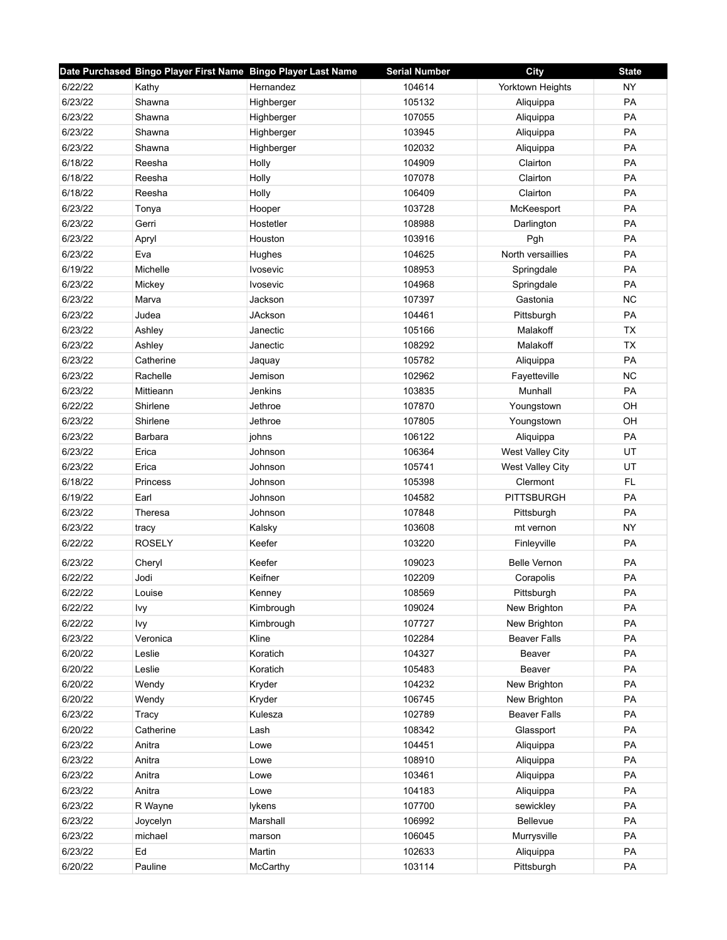|         | Date Purchased Bingo Player First Name Bingo Player Last Name |                 | <b>Serial Number</b> | City                | <b>State</b> |
|---------|---------------------------------------------------------------|-----------------|----------------------|---------------------|--------------|
| 6/22/22 | Kathy                                                         | Hernandez       | 104614               | Yorktown Heights    | <b>NY</b>    |
| 6/23/22 | Shawna                                                        | Highberger      | 105132               | Aliquippa           | PA           |
| 6/23/22 | Shawna                                                        | Highberger      | 107055               | Aliquippa           | PA           |
| 6/23/22 | Shawna                                                        | Highberger      | 103945               | Aliquippa           | PA           |
| 6/23/22 | Shawna                                                        | Highberger      | 102032               | Aliquippa           | PA           |
| 6/18/22 | Reesha                                                        | Holly           | 104909               | Clairton            | PA           |
| 6/18/22 | Reesha                                                        | Holly           | 107078               | Clairton            | PA           |
| 6/18/22 | Reesha                                                        | Holly           | 106409               | Clairton            | PA           |
| 6/23/22 | Tonya                                                         | Hooper          | 103728               | McKeesport          | PA           |
| 6/23/22 | Gerri                                                         | Hostetler       | 108988               | Darlington          | PA           |
| 6/23/22 | Apryl                                                         | Houston         | 103916               | Pgh                 | PA           |
| 6/23/22 | Eva                                                           | Hughes          | 104625               | North versaillies   | PA           |
| 6/19/22 | Michelle                                                      | Ivosevic        | 108953               | Springdale          | PA           |
| 6/23/22 | Mickey                                                        | <b>Ivosevic</b> | 104968               | Springdale          | PA           |
| 6/23/22 | Marva                                                         | Jackson         | 107397               | Gastonia            | <b>NC</b>    |
| 6/23/22 | Judea                                                         | JAckson         | 104461               | Pittsburgh          | PA           |
| 6/23/22 | Ashley                                                        | Janectic        | 105166               | Malakoff            | <b>TX</b>    |
| 6/23/22 | Ashley                                                        | Janectic        | 108292               | Malakoff            | TX           |
| 6/23/22 | Catherine                                                     | Jaquay          | 105782               | Aliquippa           | PA           |
| 6/23/22 | Rachelle                                                      | Jemison         | 102962               | Fayetteville        | <b>NC</b>    |
| 6/23/22 | Mittieann                                                     | Jenkins         | 103835               | Munhall             | PA           |
| 6/22/22 | Shirlene                                                      | Jethroe         | 107870               | Youngstown          | OH           |
| 6/23/22 | Shirlene                                                      | Jethroe         | 107805               | Youngstown          | OH           |
| 6/23/22 | Barbara                                                       | johns           | 106122               | Aliquippa           | PA           |
| 6/23/22 | Erica                                                         | Johnson         | 106364               | West Valley City    | UT           |
| 6/23/22 | Erica                                                         | Johnson         | 105741               | West Valley City    | UT           |
| 6/18/22 | Princess                                                      | Johnson         | 105398               | Clermont            | <b>FL</b>    |
| 6/19/22 | Earl                                                          | Johnson         | 104582               | <b>PITTSBURGH</b>   | PA           |
| 6/23/22 | Theresa                                                       | Johnson         | 107848               | Pittsburgh          | PA           |
| 6/23/22 | tracy                                                         | Kalsky          | 103608               | mt vernon           | <b>NY</b>    |
| 6/22/22 | <b>ROSELY</b>                                                 | Keefer          | 103220               | Finleyville         | PA           |
| 6/23/22 | Cheryl                                                        | Keefer          | 109023               | <b>Belle Vernon</b> | PA           |
| 6/22/22 | Jodi                                                          | Keifner         | 102209               | Corapolis           | PA           |
| 6/22/22 | Louise                                                        | Kenney          | 108569               | Pittsburgh          | PA           |
| 6/22/22 | Ivy                                                           | Kimbrough       | 109024               | New Brighton        | PA           |
| 6/22/22 | Ivy                                                           | Kimbrough       | 107727               | New Brighton        | PA           |
| 6/23/22 | Veronica                                                      | Kline           | 102284               | <b>Beaver Falls</b> | PA           |
| 6/20/22 | Leslie                                                        | Koratich        | 104327               | Beaver              | PA           |
| 6/20/22 | Leslie                                                        | Koratich        | 105483               | Beaver              | PA           |
| 6/20/22 | Wendy                                                         | Kryder          | 104232               | New Brighton        | PA           |
| 6/20/22 | Wendy                                                         | Kryder          | 106745               | New Brighton        | PA           |
| 6/23/22 | Tracy                                                         | Kulesza         | 102789               | <b>Beaver Falls</b> | PA           |
| 6/20/22 | Catherine                                                     | Lash            | 108342               | Glassport           | PA           |
| 6/23/22 | Anitra                                                        | Lowe            | 104451               | Aliquippa           | PA           |
| 6/23/22 | Anitra                                                        | Lowe            | 108910               | Aliquippa           | PA           |
| 6/23/22 | Anitra                                                        | Lowe            | 103461               | Aliquippa           | PA           |
| 6/23/22 | Anitra                                                        | Lowe            | 104183               | Aliquippa           | PA           |
| 6/23/22 | R Wayne                                                       | lykens          | 107700               | sewickley           | PA           |
| 6/23/22 | Joycelyn                                                      | Marshall        | 106992               | Bellevue            | PA           |
| 6/23/22 | michael                                                       | marson          | 106045               | Murrysville         | PA           |
| 6/23/22 | Ed                                                            | Martin          | 102633               | Aliquippa           | PA           |
| 6/20/22 | Pauline                                                       | McCarthy        | 103114               | Pittsburgh          | PA           |
|         |                                                               |                 |                      |                     |              |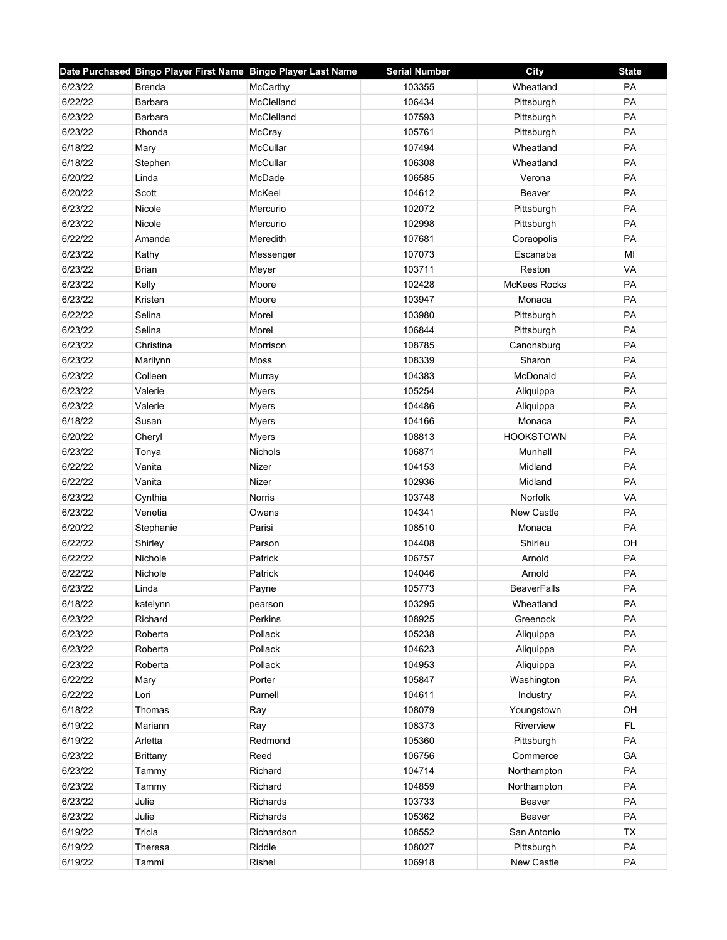|         | Date Purchased Bingo Player First Name Bingo Player Last Name |                | <b>Serial Number</b> | City                | <b>State</b> |
|---------|---------------------------------------------------------------|----------------|----------------------|---------------------|--------------|
| 6/23/22 | <b>Brenda</b>                                                 | McCarthy       | 103355               | Wheatland           | PA           |
| 6/22/22 | Barbara                                                       | McClelland     | 106434               | Pittsburgh          | PA           |
| 6/23/22 | Barbara                                                       | McClelland     | 107593               | Pittsburgh          | PA           |
| 6/23/22 | Rhonda                                                        | McCray         | 105761               | Pittsburgh          | PA           |
| 6/18/22 | Mary                                                          | McCullar       | 107494               | Wheatland           | PA           |
| 6/18/22 | Stephen                                                       | McCullar       | 106308               | Wheatland           | PA           |
| 6/20/22 | Linda                                                         | McDade         | 106585               | Verona              | PA           |
| 6/20/22 | Scott                                                         | McKeel         | 104612               | Beaver              | PA           |
| 6/23/22 | Nicole                                                        | Mercurio       | 102072               | Pittsburgh          | PA           |
| 6/23/22 | Nicole                                                        | Mercurio       | 102998               | Pittsburgh          | PA           |
| 6/22/22 | Amanda                                                        | Meredith       | 107681               | Coraopolis          | PA           |
| 6/23/22 | Kathy                                                         | Messenger      | 107073               | Escanaba            | MI           |
| 6/23/22 | <b>Brian</b>                                                  | Meyer          | 103711               | Reston              | VA           |
| 6/23/22 | Kelly                                                         | Moore          | 102428               | <b>McKees Rocks</b> | PA           |
| 6/23/22 | Kristen                                                       | Moore          | 103947               | Monaca              | PA           |
| 6/22/22 | Selina                                                        | Morel          | 103980               | Pittsburgh          | <b>PA</b>    |
| 6/23/22 | Selina                                                        | Morel          | 106844               | Pittsburgh          | PA           |
| 6/23/22 | Christina                                                     | Morrison       | 108785               | Canonsburg          | PA           |
| 6/23/22 | Marilynn                                                      | Moss           | 108339               | Sharon              | PA           |
| 6/23/22 | Colleen                                                       | Murray         | 104383               | McDonald            | PA           |
| 6/23/22 | Valerie                                                       | <b>Myers</b>   | 105254               | Aliquippa           | PA           |
| 6/23/22 | Valerie                                                       | Myers          | 104486               | Aliquippa           | PA           |
| 6/18/22 | Susan                                                         | Myers          | 104166               | Monaca              | PA           |
| 6/20/22 | Cheryl                                                        | Myers          | 108813               | <b>HOOKSTOWN</b>    | PA           |
| 6/23/22 | Tonya                                                         | <b>Nichols</b> | 106871               | Munhall             | PA           |
| 6/22/22 | Vanita                                                        | Nizer          | 104153               | Midland             | PA           |
| 6/22/22 | Vanita                                                        | Nizer          | 102936               | Midland             | PA           |
| 6/23/22 | Cynthia                                                       | Norris         | 103748               | Norfolk             | VA           |
| 6/23/22 | Venetia                                                       | Owens          | 104341               | New Castle          | PA           |
| 6/20/22 | Stephanie                                                     | Parisi         | 108510               | Monaca              | PA           |
| 6/22/22 | Shirley                                                       | Parson         | 104408               | Shirleu             | OH           |
| 6/22/22 | Nichole                                                       | Patrick        | 106757               | Arnold              | PA           |
| 6/22/22 | Nichole                                                       | Patrick        | 104046               | Arnold              | PA           |
| 6/23/22 | Linda                                                         | Payne          | 105773               | <b>BeaverFalls</b>  | PA           |
| 6/18/22 | katelynn                                                      | pearson        | 103295               | Wheatland           | PA           |
| 6/23/22 | Richard                                                       | Perkins        | 108925               | Greenock            | PA           |
| 6/23/22 | Roberta                                                       | Pollack        | 105238               | Aliquippa           | PA           |
| 6/23/22 | Roberta                                                       | Pollack        | 104623               | Aliquippa           | PA           |
| 6/23/22 | Roberta                                                       | Pollack        | 104953               | Aliquippa           | PA           |
| 6/22/22 | Mary                                                          | Porter         | 105847               | Washington          | PA           |
| 6/22/22 | Lori                                                          | Purnell        | 104611               | Industry            | PA           |
| 6/18/22 | Thomas                                                        | Ray            | 108079               | Youngstown          | OH           |
| 6/19/22 | Mariann                                                       | Ray            | 108373               | Riverview           | FL           |
| 6/19/22 | Arletta                                                       | Redmond        | 105360               | Pittsburgh          | PA           |
| 6/23/22 | <b>Brittany</b>                                               | Reed           | 106756               | Commerce            | GA           |
| 6/23/22 | Tammy                                                         | Richard        | 104714               | Northampton         | PA           |
| 6/23/22 | Tammy                                                         | Richard        | 104859               | Northampton         | PA           |
| 6/23/22 | Julie                                                         | Richards       | 103733               | Beaver              | PA           |
| 6/23/22 | Julie                                                         | Richards       | 105362               | Beaver              | PA           |
| 6/19/22 | Tricia                                                        | Richardson     | 108552               | San Antonio         | <b>TX</b>    |
| 6/19/22 | Theresa                                                       | Riddle         | 108027               | Pittsburgh          | PA           |
| 6/19/22 | Tammi                                                         | Rishel         | 106918               | New Castle          | PA           |
|         |                                                               |                |                      |                     |              |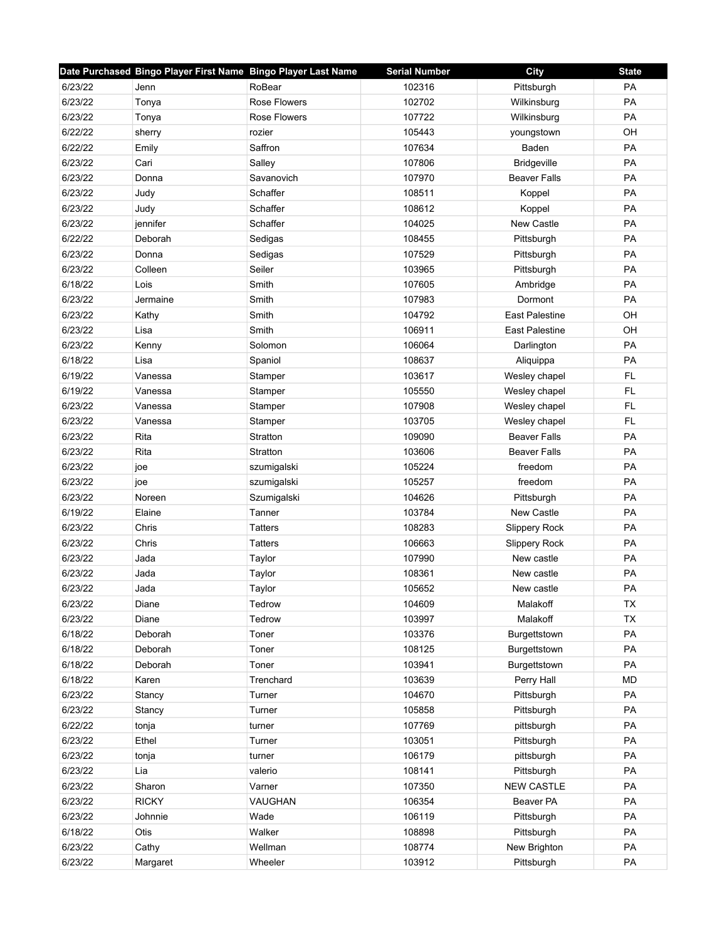|         | Date Purchased Bingo Player First Name Bingo Player Last Name |                     | <b>Serial Number</b> | <b>City</b>           | <b>State</b> |
|---------|---------------------------------------------------------------|---------------------|----------------------|-----------------------|--------------|
| 6/23/22 | Jenn                                                          | RoBear              | 102316               | Pittsburgh            | PA           |
| 6/23/22 | Tonya                                                         | <b>Rose Flowers</b> | 102702               | Wilkinsburg           | PA           |
| 6/23/22 | Tonya                                                         | Rose Flowers        | 107722               | Wilkinsburg           | <b>PA</b>    |
| 6/22/22 | sherry                                                        | rozier              | 105443               | youngstown            | OH           |
| 6/22/22 | Emily                                                         | Saffron             | 107634               | Baden                 | PA           |
| 6/23/22 | Cari                                                          | Salley              | 107806               | <b>Bridgeville</b>    | PA           |
| 6/23/22 | Donna                                                         | Savanovich          | 107970               | <b>Beaver Falls</b>   | PA           |
| 6/23/22 | Judy                                                          | Schaffer            | 108511               | Koppel                | PA           |
| 6/23/22 | Judy                                                          | Schaffer            | 108612               | Koppel                | PA           |
| 6/23/22 | jennifer                                                      | Schaffer            | 104025               | New Castle            | PA           |
| 6/22/22 | Deborah                                                       | Sedigas             | 108455               | Pittsburgh            | PA           |
| 6/23/22 | Donna                                                         | Sedigas             | 107529               | Pittsburgh            | PA           |
| 6/23/22 | Colleen                                                       | Seiler              | 103965               | Pittsburgh            | PA           |
| 6/18/22 | Lois                                                          | Smith               | 107605               | Ambridge              | <b>PA</b>    |
| 6/23/22 | Jermaine                                                      | Smith               | 107983               | Dormont               | PA           |
| 6/23/22 | Kathy                                                         | Smith               | 104792               | <b>East Palestine</b> | OH           |
| 6/23/22 | Lisa                                                          | Smith               | 106911               | <b>East Palestine</b> | OH           |
| 6/23/22 | Kenny                                                         | Solomon             | 106064               | Darlington            | PA           |
| 6/18/22 | Lisa                                                          | Spaniol             | 108637               | Aliquippa             | PA           |
| 6/19/22 | Vanessa                                                       | Stamper             | 103617               | Wesley chapel         | <b>FL</b>    |
| 6/19/22 | Vanessa                                                       | Stamper             | 105550               | Wesley chapel         | FL           |
| 6/23/22 | Vanessa                                                       | Stamper             | 107908               | Wesley chapel         | FL           |
| 6/23/22 | Vanessa                                                       | Stamper             | 103705               | Wesley chapel         | FL           |
| 6/23/22 | Rita                                                          | Stratton            | 109090               | <b>Beaver Falls</b>   | PA           |
| 6/23/22 | Rita                                                          | Stratton            | 103606               | <b>Beaver Falls</b>   | <b>PA</b>    |
| 6/23/22 | joe                                                           | szumigalski         | 105224               | freedom               | PA           |
| 6/23/22 | joe                                                           | szumigalski         | 105257               | freedom               | PA           |
| 6/23/22 | Noreen                                                        | Szumigalski         | 104626               | Pittsburgh            | PA           |
| 6/19/22 | Elaine                                                        | Tanner              | 103784               | New Castle            | PA           |
| 6/23/22 | Chris                                                         | <b>Tatters</b>      | 108283               | Slippery Rock         | PA           |
| 6/23/22 | Chris                                                         | <b>Tatters</b>      | 106663               | Slippery Rock         | PA           |
| 6/23/22 | Jada                                                          | Taylor              | 107990               | New castle            | PA           |
| 6/23/22 | Jada                                                          | Taylor              | 108361               | New castle            | PA           |
| 6/23/22 | Jada                                                          | Taylor              | 105652               | New castle            | PA           |
| 6/23/22 | Diane                                                         | Tedrow              | 104609               | Malakoff              | TX           |
| 6/23/22 | Diane                                                         | Tedrow              | 103997               | Malakoff              | <b>TX</b>    |
| 6/18/22 | Deborah                                                       | Toner               | 103376               | Burgettstown          | PA           |
| 6/18/22 | Deborah                                                       | Toner               | 108125               | Burgettstown          | PA           |
| 6/18/22 | Deborah                                                       | Toner               | 103941               | Burgettstown          | PA           |
| 6/18/22 | Karen                                                         | Trenchard           | 103639               | Perry Hall            | <b>MD</b>    |
| 6/23/22 | Stancy                                                        | Turner              | 104670               | Pittsburgh            | PA           |
| 6/23/22 | Stancy                                                        | Turner              | 105858               | Pittsburgh            | PA           |
| 6/22/22 | tonja                                                         | turner              | 107769               | pittsburgh            | PA           |
| 6/23/22 | Ethel                                                         | Turner              | 103051               | Pittsburgh            | PA           |
| 6/23/22 | tonja                                                         | turner              | 106179               | pittsburgh            | PA           |
| 6/23/22 | Lia                                                           | valerio             | 108141               | Pittsburgh            | PA           |
| 6/23/22 | Sharon                                                        | Varner              | 107350               | <b>NEW CASTLE</b>     | PA           |
| 6/23/22 | <b>RICKY</b>                                                  | VAUGHAN             | 106354               | Beaver PA             | PA           |
| 6/23/22 | Johnnie                                                       | Wade                | 106119               | Pittsburgh            | PA           |
| 6/18/22 | Otis                                                          | Walker              | 108898               | Pittsburgh            | PA           |
| 6/23/22 | Cathy                                                         | Wellman             | 108774               | New Brighton          | PA           |
| 6/23/22 | Margaret                                                      | Wheeler             | 103912               | Pittsburgh            | PA           |
|         |                                                               |                     |                      |                       |              |